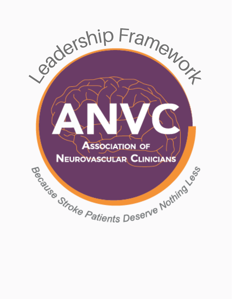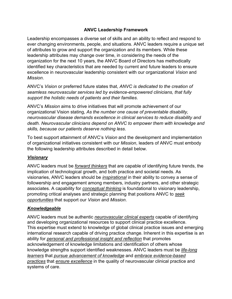#### **ANVC Leadership Framework**

Leadership encompasses a diverse set of skills and an ability to reflect and respond to ever changing environments, people, and situations. ANVC leaders require a unique set of attributes to grow and support the organization and its members. While these leadership attributes may change over time, in considering the needs of the organization for the next 10 years, the ANVC Board of Directors has methodically identified key characteristics that are needed by current and future leaders to ensure excellence in neurovascular leadership consistent with our organizational *Vision* and *Mission*.

ANVC's *Vision* or preferred future states that, *ANVC is dedicated to the creation of seamless neurovascular services led by evidence-empowered clinicians, that fully support the holistic needs of patients and their families*.

ANVC's *Mission* aims to drive initiatives that will promote achievement of our organizational Vision stating, *As the number one cause of preventable disability, neurovascular disease demands excellence in clinical services to reduce disability and death. Neurovascular clinicians depend on ANVC to empower them with knowledge and skills, because our patients deserve nothing less*.

To best support attainment of ANVC's *Vision* and the development and implementation of organizational initiatives consistent with our *Mission*, leaders of ANVC must embody the following leadership attributes described in detail below.

# *Visionary*

ANVC leaders must be *forward thinkers* that are capable of identifying future trends, the implication of technological growth, and both practice and societal needs. As visionaries, ANVC leaders should be *inspirational* in their ability to convey a sense of followership and engagement among members, industry partners, and other strategic associates. A capability for *conceptual thinking* is foundational to visionary leadership, promoting critical analyses and strategic planning that positions ANVC to *seek opportunities* that support our *Vision* and *Mission*.

# *Knowledgeable*

ANVC leaders must be authentic *neurovascular clinical experts* capable of identifying and developing organizational resources to support clinical practice excellence. This expertise must extend to knowledge of global clinical practice issues and emerging international research capable of driving practice change. Inherent in this expertise is an ability for *personal and professional insight and reflection* that promotes acknowledgement of knowledge limitations and identification of others whose knowledge strengths support identified weaknesses. ANVC leaders must be *life-long learners* that *pursue advancement of knowledge* and *embrace evidence-based practices* that *ensure excellence* in the quality of neurovascular clinical practice and systems of care.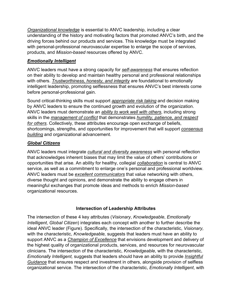*Organizational knowledge* is essential to ANVC leadership, including a clear understanding of the history and motivating factors that promoted ANVC's birth, and the driving forces behind our products and services. This knowledge must be integrated with personal-professional neurovascular expertise to enlarge the scope of services, products, and *Mission-based* resources offered by ANVC.

### *Emotionally Intelligent*

ANVC leaders must have a strong capacity for *self-awareness* that ensures reflection on their ability to develop and maintain healthy personal and professional relationships with others. *Trustworthiness, honesty, and integrity* are foundational to emotionally intelligent leadership, promoting selflessness that ensures ANVC's best interests come before personal-professional gain.

Sound critical-thinking skills must support *appropriate risk taking* and decision making by ANVC leaders to ensure the continued growth and evolution of the organization. ANVC leaders must demonstrate an *ability to work well with others*, including strong skills in the *management of conflict* that demonstrates *humility, patience, and respect for others*. Collectively, these attributes encourage open exchange of beliefs, shortcomings, strengths, and opportunities for improvement that will support *consensus building* and organizational advancement.

### *Global Citizens*

ANVC leaders must integrate *cultural and diversity awareness* with personal reflection that acknowledges inherent biases that may limit the value of others' contributions or opportunities that arise. An ability for healthy, collegial *collaboration* is central to ANVC service, as well as a commitment to enlarge one's personal and professional worldview. ANVC leaders must be *excellent communicators* that value networking with others, diverse thought and opinions, and demonstrate the ability to engage others in meaningful exchanges that promote ideas and methods to enrich *Mission-based* organizational resources.

# **Intersection of Leadership Attributes**

The intersection of these 4 key attributes (*Visionary*, *Knowledgeable*, *Emotionally Intelligent*, *Global Citizen*) integrates each concept with another to further describe the ideal ANVC leader (Figure). Specifically, the intersection of the characteristic, *Visionary,* with the characteristic, *Knowledgeable,* suggests that leaders must have an ability to support ANVC as a *Champion of Excellence* that envisions development and delivery of the highest quality of organizational products, services, and resources for neurovascular clinicians. The intersection of the characteristic, *Knowledgeable*, with the characteristic, *Emotionally Intelligent,* suggests that leaders should have an ability to provide *Insightful Guidance* that ensures respect and investment in others, alongside provision of selfless organizational service. The intersection of the characteristic, *Emotionally Intelligent*, with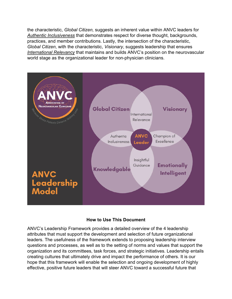the characteristic, *Global Citizen,* suggests an inherent value within ANVC leaders for *Authentic Inclusiveness* that demonstrates respect for diverse thought, backgrounds, practices, and member contributions. Lastly, the intersection of the characteristic, *Global Citizen*, with the characteristic, *Visionary*, suggests leadership that ensures *International Relevancy* that maintains and builds ANVC's position on the neurovascular world stage as the organizational leader for non-physician clinicians.



#### **How to Use This Document**

ANVC's Leadership Framework provides a detailed overview of the 4 leadership attributes that must support the development and selection of future organizational leaders. The usefulness of the framework extends to proposing leadership interview questions and processes, as well as to the setting of norms and values that support the organization and its committees, task forces, and strategic initiatives. Leadership entails creating cultures that ultimately drive and impact the performance of others. It is our hope that this framework will enable the selection and ongoing development of highly effective, positive future leaders that will steer ANVC toward a successful future that